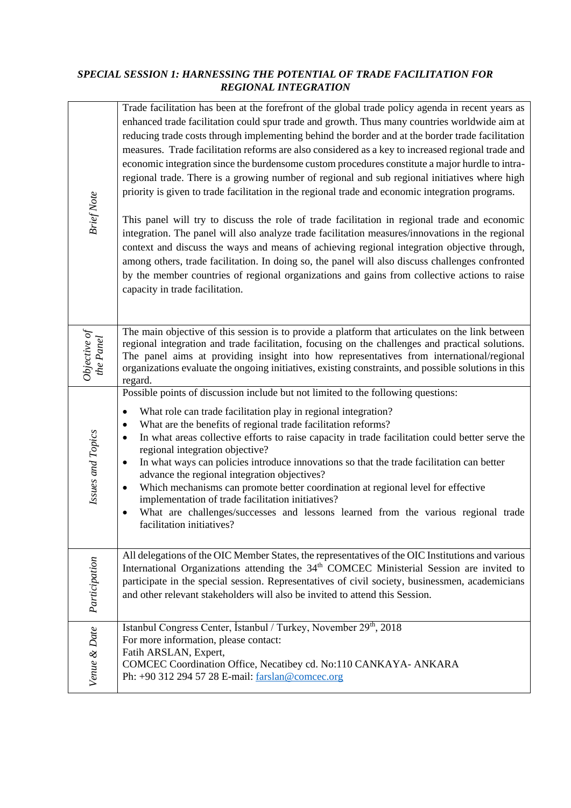#### *SPECIAL SESSION 1: HARNESSING THE POTENTIAL OF TRADE FACILITATION FOR REGIONAL INTEGRATION*

| <b>Brief Note</b>                                            | Trade facilitation has been at the forefront of the global trade policy agenda in recent years as<br>enhanced trade facilitation could spur trade and growth. Thus many countries worldwide aim at<br>reducing trade costs through implementing behind the border and at the border trade facilitation<br>measures. Trade facilitation reforms are also considered as a key to increased regional trade and<br>economic integration since the burdensome custom procedures constitute a major hurdle to intra-<br>regional trade. There is a growing number of regional and sub regional initiatives where high<br>priority is given to trade facilitation in the regional trade and economic integration programs.<br>This panel will try to discuss the role of trade facilitation in regional trade and economic<br>integration. The panel will also analyze trade facilitation measures/innovations in the regional<br>context and discuss the ways and means of achieving regional integration objective through,<br>among others, trade facilitation. In doing so, the panel will also discuss challenges confronted<br>by the member countries of regional organizations and gains from collective actions to raise<br>capacity in trade facilitation. |  |
|--------------------------------------------------------------|---------------------------------------------------------------------------------------------------------------------------------------------------------------------------------------------------------------------------------------------------------------------------------------------------------------------------------------------------------------------------------------------------------------------------------------------------------------------------------------------------------------------------------------------------------------------------------------------------------------------------------------------------------------------------------------------------------------------------------------------------------------------------------------------------------------------------------------------------------------------------------------------------------------------------------------------------------------------------------------------------------------------------------------------------------------------------------------------------------------------------------------------------------------------------------------------------------------------------------------------------------------|--|
| $\begin{array}{c} Objective \ of \\ the \ Panel \end{array}$ | The main objective of this session is to provide a platform that articulates on the link between<br>regional integration and trade facilitation, focusing on the challenges and practical solutions.<br>The panel aims at providing insight into how representatives from international/regional<br>organizations evaluate the ongoing initiatives, existing constraints, and possible solutions in this<br>regard.                                                                                                                                                                                                                                                                                                                                                                                                                                                                                                                                                                                                                                                                                                                                                                                                                                           |  |
| Issues and Topics                                            | Possible points of discussion include but not limited to the following questions:<br>What role can trade facilitation play in regional integration?<br>$\bullet$<br>What are the benefits of regional trade facilitation reforms?<br>$\bullet$<br>In what areas collective efforts to raise capacity in trade facilitation could better serve the<br>$\bullet$<br>regional integration objective?<br>In what ways can policies introduce innovations so that the trade facilitation can better<br>٠<br>advance the regional integration objectives?<br>Which mechanisms can promote better coordination at regional level for effective<br>$\bullet$<br>implementation of trade facilitation initiatives?<br>What are challenges/successes and lessons learned from the various regional trade<br>$\bullet$<br>facilitation initiatives?                                                                                                                                                                                                                                                                                                                                                                                                                      |  |
| Participation                                                | All delegations of the OIC Member States, the representatives of the OIC Institutions and various<br>International Organizations attending the 34 <sup>th</sup> COMCEC Ministerial Session are invited to<br>participate in the special session. Representatives of civil society, businessmen, academicians<br>and other relevant stakeholders will also be invited to attend this Session.                                                                                                                                                                                                                                                                                                                                                                                                                                                                                                                                                                                                                                                                                                                                                                                                                                                                  |  |
| Venue & Date                                                 | Istanbul Congress Center, İstanbul / Turkey, November 29th, 2018<br>For more information, please contact:<br>Fatih ARSLAN, Expert,<br>COMCEC Coordination Office, Necatibey cd. No:110 CANKAYA- ANKARA<br>Ph: +90 312 294 57 28 E-mail: farslan@comcec.org                                                                                                                                                                                                                                                                                                                                                                                                                                                                                                                                                                                                                                                                                                                                                                                                                                                                                                                                                                                                    |  |